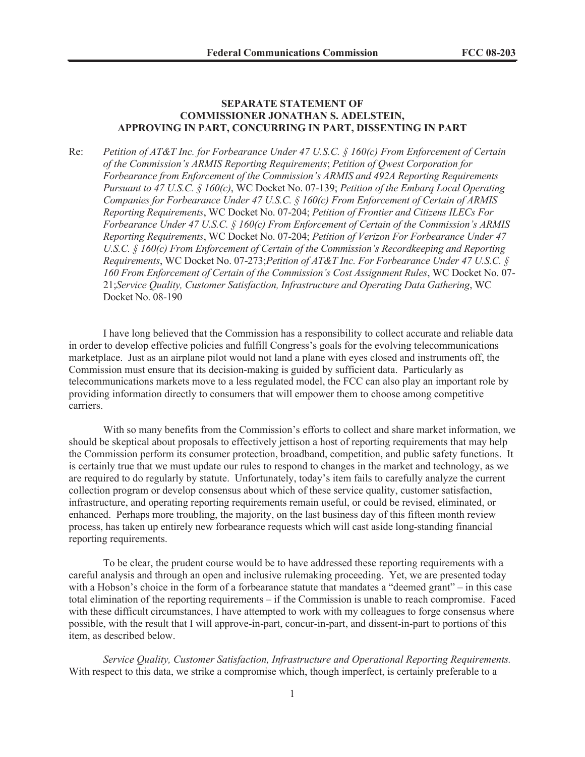## **SEPARATE STATEMENT OF COMMISSIONER JONATHAN S. ADELSTEIN, APPROVING IN PART, CONCURRING IN PART, DISSENTING IN PART**

Re: *Petition of AT&T Inc. for Forbearance Under 47 U.S.C. § 160(c) From Enforcement of Certain of the Commission's ARMIS Reporting Requirements*; *Petition of Qwest Corporation for Forbearance from Enforcement of the Commission's ARMIS and 492A Reporting Requirements Pursuant to 47 U.S.C. § 160(c)*, WC Docket No. 07-139; *Petition of the Embarq Local Operating Companies for Forbearance Under 47 U.S.C. § 160(c) From Enforcement of Certain of ARMIS Reporting Requirements*, WC Docket No. 07-204; *Petition of Frontier and Citizens ILECs For Forbearance Under 47 U.S.C. § 160(c) From Enforcement of Certain of the Commission's ARMIS Reporting Requirements*, WC Docket No. 07-204; *Petition of Verizon For Forbearance Under 47 U.S.C.* § 160(c) From Enforcement of Certain of the Commission's Recordkeeping and Reporting *Requirements*, WC Docket No. 07-273;*Petition of AT&T Inc. For Forbearance Under 47 U.S.C. § 160 From Enforcement of Certain of the Commission's Cost Assignment Rules*, WC Docket No. 07- 21;*Service Quality, Customer Satisfaction, Infrastructure and Operating Data Gathering*, WC Docket No. 08-190

I have long believed that the Commission has a responsibility to collect accurate and reliable data in order to develop effective policies and fulfill Congress's goals for the evolving telecommunications marketplace. Just as an airplane pilot would not land a plane with eyes closed and instruments off, the Commission must ensure that its decision-making is guided by sufficient data. Particularly as telecommunications markets move to a less regulated model, the FCC can also play an important role by providing information directly to consumers that will empower them to choose among competitive carriers.

With so many benefits from the Commission's efforts to collect and share market information, we should be skeptical about proposals to effectively jettison a host of reporting requirements that may help the Commission perform its consumer protection, broadband, competition, and public safety functions. It is certainly true that we must update our rules to respond to changes in the market and technology, as we are required to do regularly by statute. Unfortunately, today's item fails to carefully analyze the current collection program or develop consensus about which of these service quality, customer satisfaction, infrastructure, and operating reporting requirements remain useful, or could be revised, eliminated, or enhanced. Perhaps more troubling, the majority, on the last business day of this fifteen month review process, has taken up entirely new forbearance requests which will cast aside long-standing financial reporting requirements.

To be clear, the prudent course would be to have addressed these reporting requirements with a careful analysis and through an open and inclusive rulemaking proceeding. Yet, we are presented today with a Hobson's choice in the form of a forbearance statute that mandates a "deemed grant" – in this case total elimination of the reporting requirements – if the Commission is unable to reach compromise. Faced with these difficult circumstances, I have attempted to work with my colleagues to forge consensus where possible, with the result that I will approve-in-part, concur-in-part, and dissent-in-part to portions of this item, as described below.

*Service Quality, Customer Satisfaction, Infrastructure and Operational Reporting Requirements.* With respect to this data, we strike a compromise which, though imperfect, is certainly preferable to a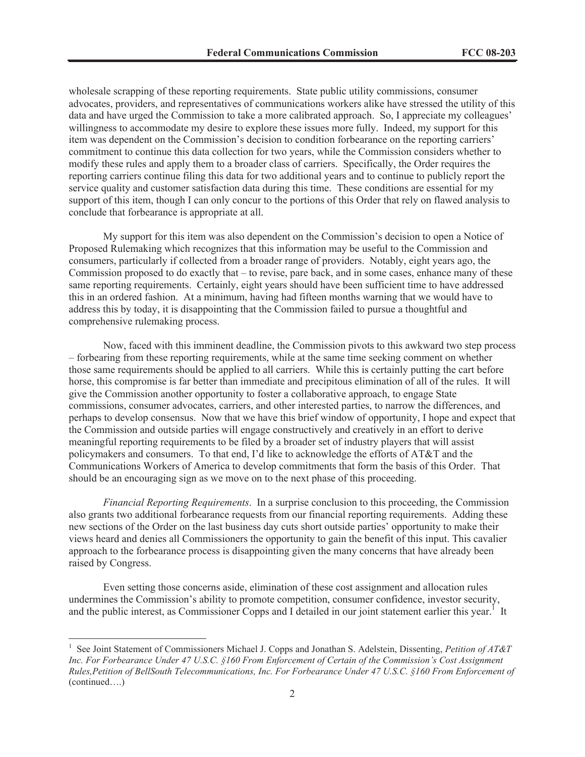wholesale scrapping of these reporting requirements. State public utility commissions, consumer advocates, providers, and representatives of communications workers alike have stressed the utility of this data and have urged the Commission to take a more calibrated approach. So, I appreciate my colleagues' willingness to accommodate my desire to explore these issues more fully. Indeed, my support for this item was dependent on the Commission's decision to condition forbearance on the reporting carriers' commitment to continue this data collection for two years, while the Commission considers whether to modify these rules and apply them to a broader class of carriers. Specifically, the Order requires the reporting carriers continue filing this data for two additional years and to continue to publicly report the service quality and customer satisfaction data during this time. These conditions are essential for my support of this item, though I can only concur to the portions of this Order that rely on flawed analysis to conclude that forbearance is appropriate at all.

My support for this item was also dependent on the Commission's decision to open a Notice of Proposed Rulemaking which recognizes that this information may be useful to the Commission and consumers, particularly if collected from a broader range of providers. Notably, eight years ago, the Commission proposed to do exactly that – to revise, pare back, and in some cases, enhance many of these same reporting requirements. Certainly, eight years should have been sufficient time to have addressed this in an ordered fashion. At a minimum, having had fifteen months warning that we would have to address this by today, it is disappointing that the Commission failed to pursue a thoughtful and comprehensive rulemaking process.

Now, faced with this imminent deadline, the Commission pivots to this awkward two step process – forbearing from these reporting requirements, while at the same time seeking comment on whether those same requirements should be applied to all carriers. While this is certainly putting the cart before horse, this compromise is far better than immediate and precipitous elimination of all of the rules. It will give the Commission another opportunity to foster a collaborative approach, to engage State commissions, consumer advocates, carriers, and other interested parties, to narrow the differences, and perhaps to develop consensus. Now that we have this brief window of opportunity, I hope and expect that the Commission and outside parties will engage constructively and creatively in an effort to derive meaningful reporting requirements to be filed by a broader set of industry players that will assist policymakers and consumers. To that end, I'd like to acknowledge the efforts of AT&T and the Communications Workers of America to develop commitments that form the basis of this Order. That should be an encouraging sign as we move on to the next phase of this proceeding.

*Financial Reporting Requirements*. In a surprise conclusion to this proceeding, the Commission also grants two additional forbearance requests from our financial reporting requirements. Adding these new sections of the Order on the last business day cuts short outside parties' opportunity to make their views heard and denies all Commissioners the opportunity to gain the benefit of this input. This cavalier approach to the forbearance process is disappointing given the many concerns that have already been raised by Congress.

Even setting those concerns aside, elimination of these cost assignment and allocation rules undermines the Commission's ability to promote competition, consumer confidence, investor security, and the public interest, as Commissioner Copps and I detailed in our joint statement earlier this year.<sup>1</sup> It

<sup>&</sup>lt;sup>1</sup> See Joint Statement of Commissioners Michael J. Copps and Jonathan S. Adelstein, Dissenting, *Petition of AT&T Inc. For Forbearance Under 47 U.S.C. §160 From Enforcement of Certain of the Commission's Cost Assignment Rules,Petition of BellSouth Telecommunications, Inc. For Forbearance Under 47 U.S.C. §160 From Enforcement of*  (continued….)